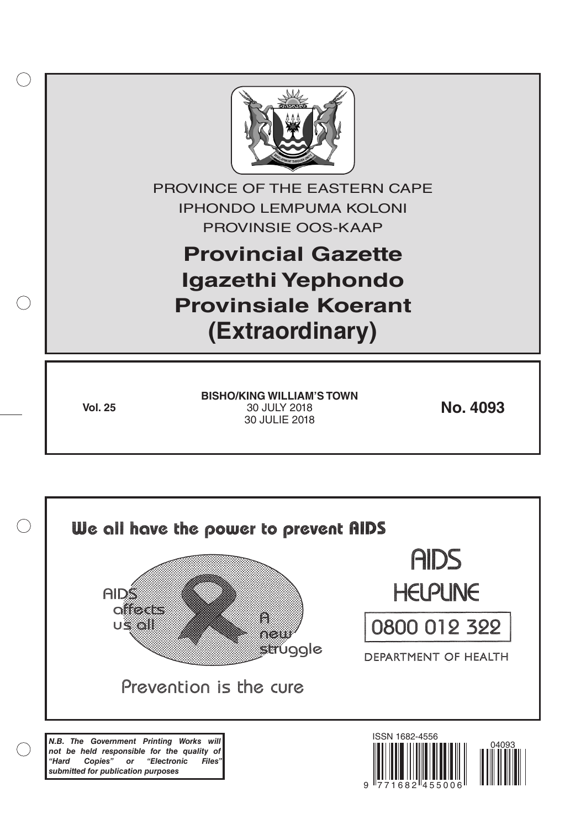

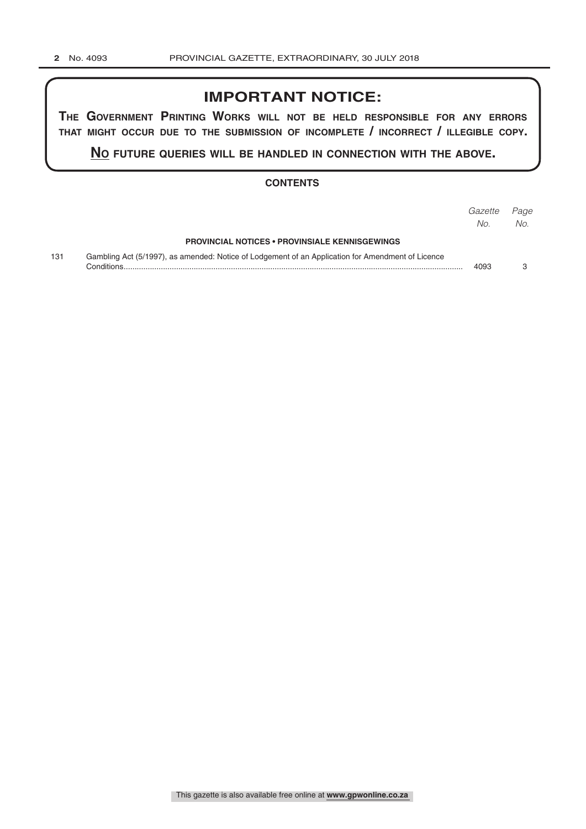# **IMPORTANT NOTICE:**

**The GovernmenT PrinTinG Works Will noT be held resPonsible for any errors ThaT miGhT occur due To The submission of incomPleTe / incorrecT / illeGible coPy.**

**no fuTure queries Will be handled in connecTion WiTh The above.**

## **CONTENTS**

|     |                                                                                                                  | Gazette<br>No. | Page<br>No. |
|-----|------------------------------------------------------------------------------------------------------------------|----------------|-------------|
|     | <b>PROVINCIAL NOTICES • PROVINSIALE KENNISGEWINGS</b>                                                            |                |             |
| 131 | Gambling Act (5/1997), as amended: Notice of Lodgement of an Application for Amendment of Licence<br>Conditions. | 4093           |             |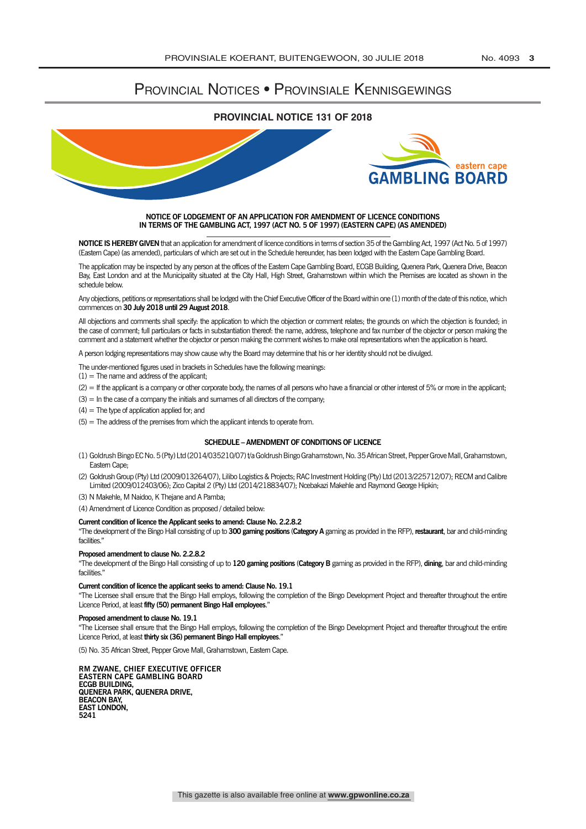## PROVINCIAL NOTICES • PROVINSIALE KENNISGEWINGS

### **PROVINCIAL NOTICE 131 OF 2018**



#### **NOTICE OF LODGEMENT OF AN APPLICATION FOR AMENDMENT OF LICENCE CONDITIONS IN TERMS OF THE GAMBLING ACT, 1997 (ACT NO. 5 OF 1997) (EASTERN CAPE) (AS AMENDED)**

**NOTICE IS HEREBy GIvEN** that an application for amendment of licence conditions in terms of section 35 of the Gambling Act, 1997 (Act No. 5 of 1997) (Eastern Cape) (as amended), particulars of which are set out in the Schedule hereunder, has been lodged with the Eastern Cape Gambling Board.

The application may be inspected by any person at the offices of the Eastern Cape Gambling Board, ECGB Building, Quenera Park, Quenera Drive, Beacon Bay, East London and at the Municipality situated at the City Hall, High Street, Grahamstown within which the Premises are located as shown in the schedule below.

Any objections, petitions or representations shall be lodged with the Chief Executive Officer of the Board within one (1) month of the date of this notice, which commences on **30 July 2018 until 29 August 2018**.

All objections and comments shall specify: the application to which the objection or comment relates; the grounds on which the objection is founded; in the case of comment; full particulars or facts in substantiation thereof: the name, address, telephone and fax number of the objector or person making the comment and a statement whether the objector or person making the comment wishes to make oral representations when the application is heard.

A person lodging representations may show cause why the Board may determine that his or her identity should not be divulged.

The under-mentioned figures used in brackets in Schedules have the following meanings:

 $(1)$  = The name and address of the applicant;

- (2) = If the applicant is a company or other corporate body, the names of all persons who have a financial or other interest of 5% or more in the applicant;
- $(3)$  = In the case of a company the initials and surnames of all directors of the company;

 $(4)$  = The type of application applied for; and

 $(5)$  = The address of the premises from which the applicant intends to operate from.

#### **SCHEDULE – AMENDMENT OF CONDITIONS OF LICENCE**

- (1) Goldrush Bingo EC No. 5 (Pty) Ltd (2014/035210/07) t/a Goldrush Bingo Grahamstown, No. 35 African Street, Pepper Grove Mall, Grahamstown, Eastern Cape;
- (2) Goldrush Group (Pty) Ltd (2009/013264/07), Lilibo Logistics & Projects; RAC Investment Holding (Pty) Ltd (2013/225712/07); RECM and Calibre Limited (2009/012403/06); Zico Capital 2 (Pty) Ltd (2014/218834/07); Ncebakazi Makehle and Raymond George Hipkin;
- (3) N Makehle, M Naidoo, K Thejane and A Pamba;
- (4) Amendment of Licence Condition as proposed / detailed below:

#### **Current condition of licence the Applicant seeks to amend: Clause No. 2.2.8.2**

"The development of the Bingo Hall consisting of up to **300 gaming positions** (**Category A** gaming as provided in the RFP), **restaurant**, bar and child-minding facilities."

#### **Proposed amendment to clause No. 2.2.8.2**

"The development of the Bingo Hall consisting of up to **120 gaming positions** (**Category B** gaming as provided in the RFP), **dining**, bar and child-minding facilities.'

#### **Current condition of licence the applicant seeks to amend: Clause No. 19.1**

"The Licensee shall ensure that the Bingo Hall employs, following the completion of the Bingo Development Project and thereafter throughout the entire Licence Period, at least **fifty (50) permanent Bingo Hall employees**."

#### **Proposed amendment to clause No. 19.1**

"The Licensee shall ensure that the Bingo Hall employs, following the completion of the Bingo Development Project and thereafter throughout the entire Licence Period, at least **thirty six (36) permanent Bingo Hall employees**."

(5) No. 35 African Street, Pepper Grove Mall, Grahamstown, Eastern Cape.

**RM ZwANE, CHIEF ExECUTIvE OFFICER EASTERN CAPE GAMBLING BOARD ECGB BUILDING, QUENERA PARk, QUENERA DRIvE, BEACON BAy, EAST LONDON, 5241**